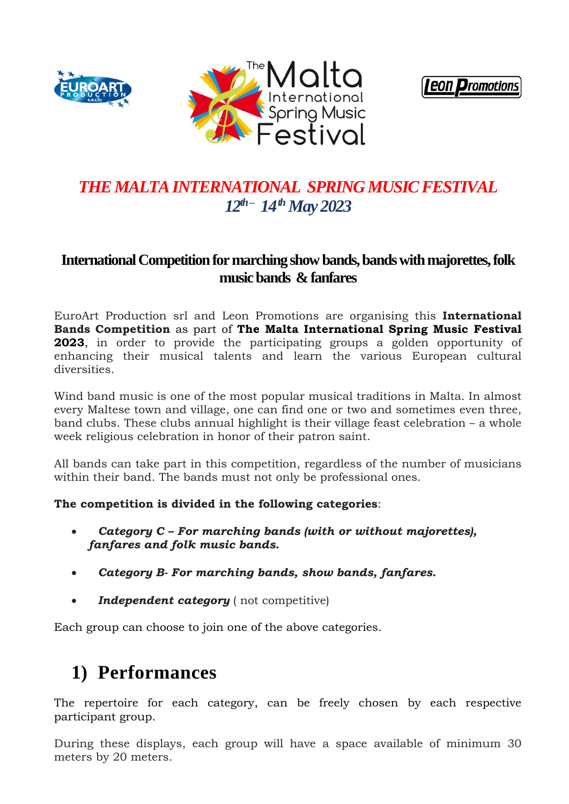





## *THE MALTA INTERNATIONAL SPRING MUSIC FESTIVAL 12th– 14thMay 2023*

## **International Competition for marching show bands, bands with majorettes, folk music bands & fanfares**

EuroArt Production srl and Leon Promotions are organising this **International Bands Competition** as part of **The Malta International Spring Music Festival 2023**, in order to provide the participating groups a golden opportunity of enhancing their musical talents and learn the various European cultural diversities.

Wind band music is one of the most popular musical traditions in Malta. In almost every Maltese town and village, one can find one or two and sometimes even three, band clubs. These clubs annual highlight is their village feast celebration – a whole week religious celebration in honor of their patron saint.

All bands can take part in this competition, regardless of the number of musicians within their band. The bands must not only be professional ones.

### **The competition is divided in the following categories**:

- *Category C – For marching bands (with or without majorettes), fanfares and folk music bands.*
- *Category B- For marching bands, show bands, fanfares.*
- *Independent category* ( not competitive)

Each group can choose to join one of the above categories.

# **1) Performances**

The repertoire for each category, can be freely chosen by each respective participant group.

During these displays, each group will have a space available of minimum 30 meters by 20 meters.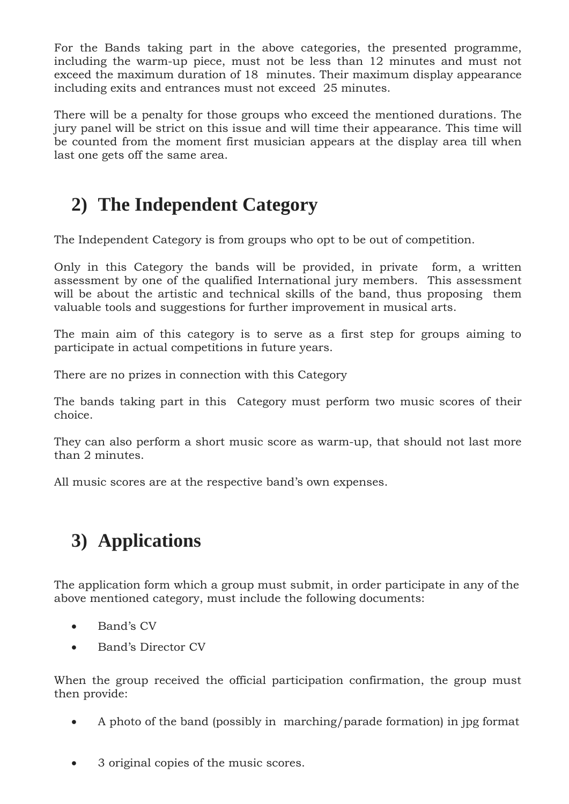For the Bands taking part in the above categories, the presented programme, including the warm-up piece, must not be less than 12 minutes and must not exceed the maximum duration of 18 minutes. Their maximum display appearance including exits and entrances must not exceed 25 minutes.

There will be a penalty for those groups who exceed the mentioned durations. The jury panel will be strict on this issue and will time their appearance. This time will be counted from the moment first musician appears at the display area till when last one gets off the same area.

# **2) The Independent Category**

The Independent Category is from groups who opt to be out of competition.

Only in this Category the bands will be provided, in private form, a written assessment by one of the qualified International jury members. This assessment will be about the artistic and technical skills of the band, thus proposing them valuable tools and suggestions for further improvement in musical arts.

The main aim of this category is to serve as a first step for groups aiming to participate in actual competitions in future years.

There are no prizes in connection with this Category

The bands taking part in this Category must perform two music scores of their choice.

They can also perform a short music score as warm-up, that should not last more than 2 minutes.

All music scores are at the respective band's own expenses.

# **3) Applications**

The application form which a group must submit, in order participate in any of the above mentioned category, must include the following documents:

- Band's CV
- Band's Director CV

When the group received the official participation confirmation, the group must then provide:

- A photo of the band (possibly in marching/parade formation) in jpg format
- 3 original copies of the music scores.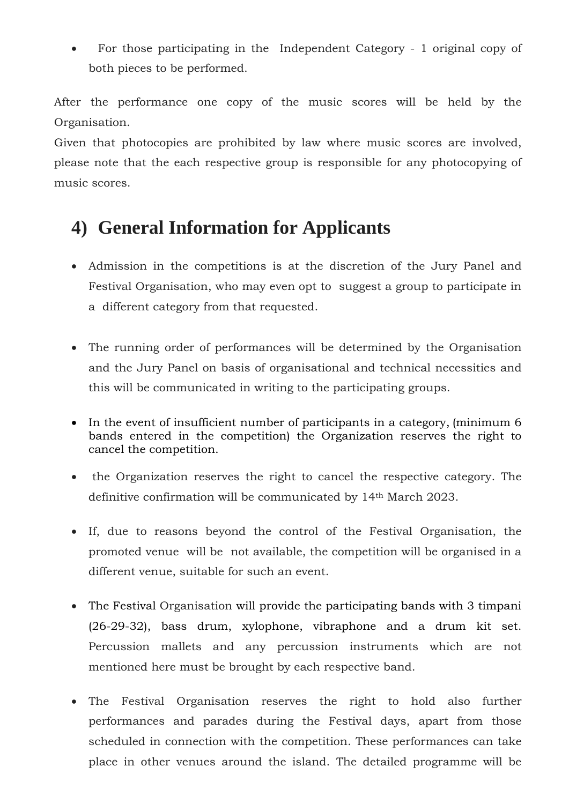For those participating in the Independent Category - 1 original copy of both pieces to be performed.

After the performance one copy of the music scores will be held by the Organisation.

Given that photocopies are prohibited by law where music scores are involved, please note that the each respective group is responsible for any photocopying of music scores.

## **4) General Information for Applicants**

- Admission in the competitions is at the discretion of the Jury Panel and Festival Organisation, who may even opt to suggest a group to participate in a different category from that requested.
- The running order of performances will be determined by the Organisation and the Jury Panel on basis of organisational and technical necessities and this will be communicated in writing to the participating groups.
- In the event of insufficient number of participants in a category, (minimum 6 bands entered in the competition) the Organization reserves the right to cancel the competition.
- the Organization reserves the right to cancel the respective category. The definitive confirmation will be communicated by 14th March 2023.
- If, due to reasons beyond the control of the Festival Organisation, the promoted venue will be not available, the competition will be organised in a different venue, suitable for such an event.
- The Festival Organisation will provide the participating bands with 3 timpani (26-29-32), bass drum, xylophone, vibraphone and a drum kit set. Percussion mallets and any percussion instruments which are not mentioned here must be brought by each respective band.
- The Festival Organisation reserves the right to hold also further performances and parades during the Festival days, apart from those scheduled in connection with the competition. These performances can take place in other venues around the island. The detailed programme will be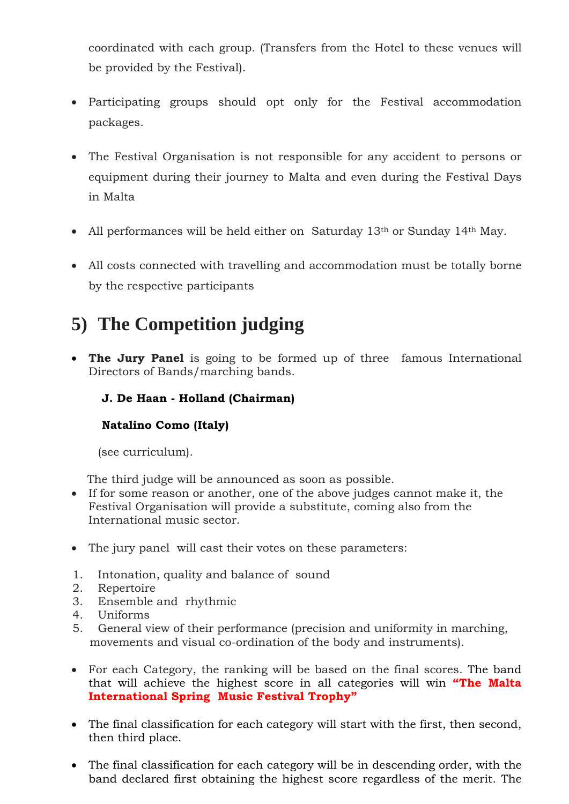coordinated with each group. (Transfers from the Hotel to these venues will be provided by the Festival).

- Participating groups should opt only for the Festival accommodation packages.
- The Festival Organisation is not responsible for any accident to persons or equipment during their journey to Malta and even during the Festival Days in Malta
- All performances will be held either on Saturday 13<sup>th</sup> or Sunday 14<sup>th</sup> May.
- All costs connected with travelling and accommodation must be totally borne by the respective participants

# **5) The Competition judging**

 **The Jury Panel** is going to be formed up of three famous International Directors of Bands/marching bands.

### **J. De Haan - Holland (Chairman)**

### **Natalino Como (Italy)**

(see curriculum).

The third judge will be announced as soon as possible.

- If for some reason or another, one of the above judges cannot make it, the Festival Organisation will provide a substitute, coming also from the International music sector.
- The jury panel will cast their votes on these parameters:
- 1. Intonation, quality and balance of sound
- 2. Repertoire
- 3. Ensemble and rhythmic
- 4. Uniforms
- 5. General view of their performance (precision and uniformity in marching, movements and visual co-ordination of the body and instruments).
- For each Category, the ranking will be based on the final scores. The band that will achieve the highest score in all categories will win **"The Malta International Spring Music Festival Trophy"**
- The final classification for each category will start with the first, then second, then third place.
- The final classification for each category will be in descending order, with the band declared first obtaining the highest score regardless of the merit. The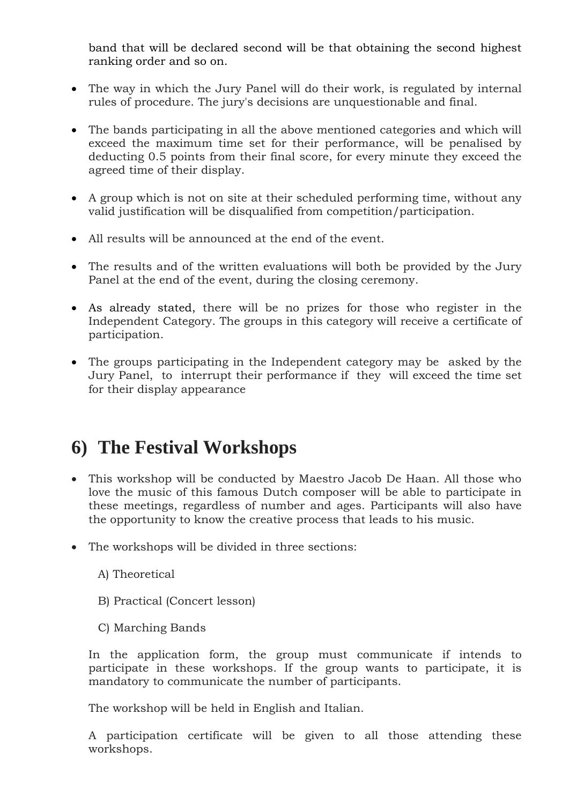band that will be declared second will be that obtaining the second highest ranking order and so on.

- The way in which the Jury Panel will do their work, is regulated by internal rules of procedure. The jury's decisions are unquestionable and final.
- The bands participating in all the above mentioned categories and which will exceed the maximum time set for their performance, will be penalised by deducting 0.5 points from their final score, for every minute they exceed the agreed time of their display.
- A group which is not on site at their scheduled performing time, without any valid justification will be disqualified from competition/participation.
- All results will be announced at the end of the event.
- The results and of the written evaluations will both be provided by the Jury Panel at the end of the event, during the closing ceremony.
- As already stated, there will be no prizes for those who register in the Independent Category. The groups in this category will receive a certificate of participation.
- The groups participating in the Independent category may be asked by the Jury Panel, to interrupt their performance if they will exceed the time set for their display appearance

## **6) The Festival Workshops**

- This workshop will be conducted by Maestro Jacob De Haan. All those who love the music of this famous Dutch composer will be able to participate in these meetings, regardless of number and ages. Participants will also have the opportunity to know the creative process that leads to his music.
- The workshops will be divided in three sections:

A) Theoretical

- B) Practical (Concert lesson)
- C) Marching Bands

In the application form, the group must communicate if intends to participate in these workshops. If the group wants to participate, it is mandatory to communicate the number of participants.

The workshop will be held in English and Italian.

A participation certificate will be given to all those attending these workshops.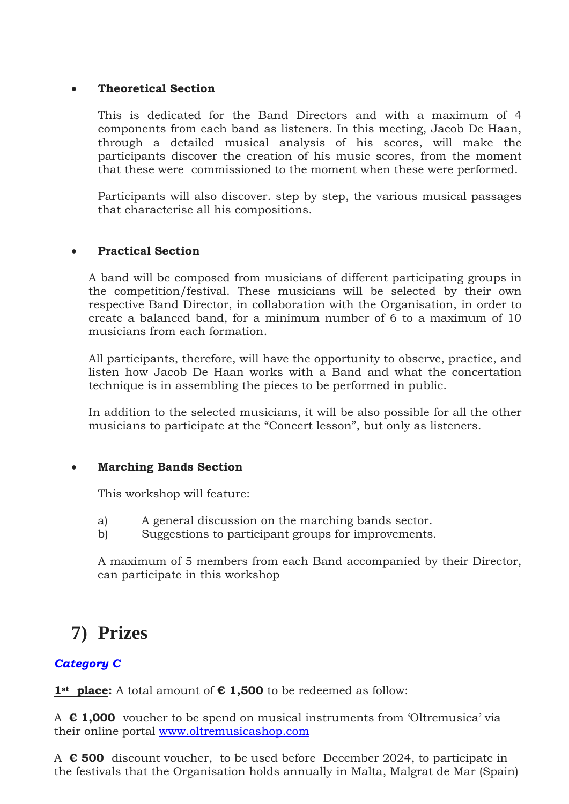#### **Theoretical Section**

This is dedicated for the Band Directors and with a maximum of 4 components from each band as listeners. In this meeting, Jacob De Haan, through a detailed musical analysis of his scores, will make the participants discover the creation of his music scores, from the moment that these were commissioned to the moment when these were performed.

Participants will also discover. step by step, the various musical passages that characterise all his compositions.

#### **Practical Section**

A band will be composed from musicians of different participating groups in the competition/festival. These musicians will be selected by their own respective Band Director, in collaboration with the Organisation, in order to create a balanced band, for a minimum number of 6 to a maximum of 10 musicians from each formation.

All participants, therefore, will have the opportunity to observe, practice, and listen how Jacob De Haan works with a Band and what the concertation technique is in assembling the pieces to be performed in public.

In addition to the selected musicians, it will be also possible for all the other musicians to participate at the "Concert lesson", but only as listeners.

#### **Marching Bands Section**

This workshop will feature:

- a) A general discussion on the marching bands sector.
- b) Suggestions to participant groups for improvements.

A maximum of 5 members from each Band accompanied by their Director, can participate in this workshop

## **7) Prizes**

### *Category C*

**1st place:** A total amount of **€ 1,500** to be redeemed as follow:

A **€ 1,000** voucher to be spend on musical instruments from 'Oltremusica' via their online portal [www.oltremusicashop.com](http://www.oltremusicashop.com/)

A **€ 500** discount voucher, to be used before December 2024, to participate in the festivals that the Organisation holds annually in Malta, Malgrat de Mar (Spain)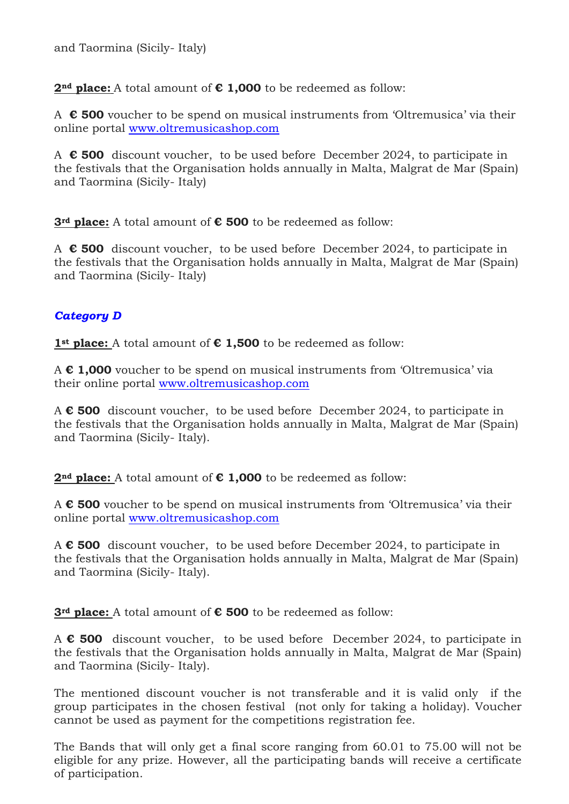**2nd place:** A total amount of **€ 1,000** to be redeemed as follow:

A **€ 500** voucher to be spend on musical instruments from 'Oltremusica' via their online portal [www.oltremusicashop.com](http://www.oltremusicashop.com/)

A **€ 500** discount voucher, to be used before December 2024, to participate in the festivals that the Organisation holds annually in Malta, Malgrat de Mar (Spain) and Taormina (Sicily- Italy)

**3rd place:** A total amount of **€ 500** to be redeemed as follow:

A **€ 500** discount voucher, to be used before December 2024, to participate in the festivals that the Organisation holds annually in Malta, Malgrat de Mar (Spain) and Taormina (Sicily- Italy)

### *Category D*

**1st place:** A total amount of **€ 1,500** to be redeemed as follow:

A **€ 1,000** voucher to be spend on musical instruments from 'Oltremusica' via their online portal [www.oltremusicashop.com](http://www.oltremusicashop.com/)

A **€ 500** discount voucher, to be used before December 2024, to participate in the festivals that the Organisation holds annually in Malta, Malgrat de Mar (Spain) and Taormina (Sicily- Italy).

**2nd place:** A total amount of **€ 1,000** to be redeemed as follow:

A **€ 500** voucher to be spend on musical instruments from 'Oltremusica' via their online portal [www.oltremusicashop.com](http://www.oltremusicashop.com/)

A **€ 500** discount voucher, to be used before December 2024, to participate in the festivals that the Organisation holds annually in Malta, Malgrat de Mar (Spain) and Taormina (Sicily- Italy).

**3rd place:** A total amount of **€ 500** to be redeemed as follow:

A **€ 500** discount voucher, to be used before December 2024, to participate in the festivals that the Organisation holds annually in Malta, Malgrat de Mar (Spain) and Taormina (Sicily- Italy).

The mentioned discount voucher is not transferable and it is valid only if the group participates in the chosen festival (not only for taking a holiday). Voucher cannot be used as payment for the competitions registration fee.

The Bands that will only get a final score ranging from 60.01 to 75.00 will not be eligible for any prize. However, all the participating bands will receive a certificate of participation.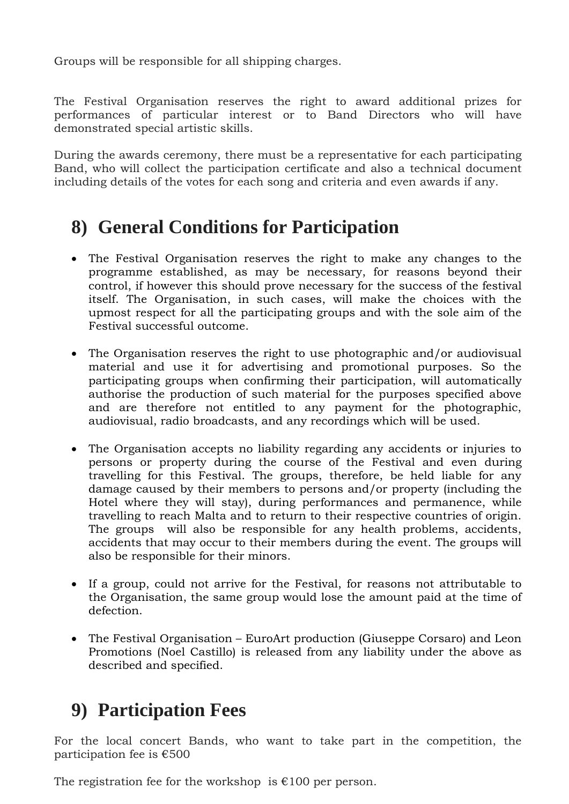Groups will be responsible for all shipping charges.

The Festival Organisation reserves the right to award additional prizes for performances of particular interest or to Band Directors who will have demonstrated special artistic skills.

During the awards ceremony, there must be a representative for each participating Band, who will collect the participation certificate and also a technical document including details of the votes for each song and criteria and even awards if any.

## **8) General Conditions for Participation**

- The Festival Organisation reserves the right to make any changes to the programme established, as may be necessary, for reasons beyond their control, if however this should prove necessary for the success of the festival itself. The Organisation, in such cases, will make the choices with the upmost respect for all the participating groups and with the sole aim of the Festival successful outcome.
- The Organisation reserves the right to use photographic and/or audiovisual material and use it for advertising and promotional purposes. So the participating groups when confirming their participation, will automatically authorise the production of such material for the purposes specified above and are therefore not entitled to any payment for the photographic, audiovisual, radio broadcasts, and any recordings which will be used.
- The Organisation accepts no liability regarding any accidents or injuries to persons or property during the course of the Festival and even during travelling for this Festival. The groups, therefore, be held liable for any damage caused by their members to persons and/or property (including the Hotel where they will stay), during performances and permanence, while travelling to reach Malta and to return to their respective countries of origin. The groups will also be responsible for any health problems, accidents, accidents that may occur to their members during the event. The groups will also be responsible for their minors.
- If a group, could not arrive for the Festival, for reasons not attributable to the Organisation, the same group would lose the amount paid at the time of defection.
- The Festival Organisation EuroArt production (Giuseppe Corsaro) and Leon Promotions (Noel Castillo) is released from any liability under the above as described and specified.

## **9) Participation Fees**

For the local concert Bands, who want to take part in the competition, the participation fee is  $€500$ 

The registration fee for the workshop is  $€100$  per person.